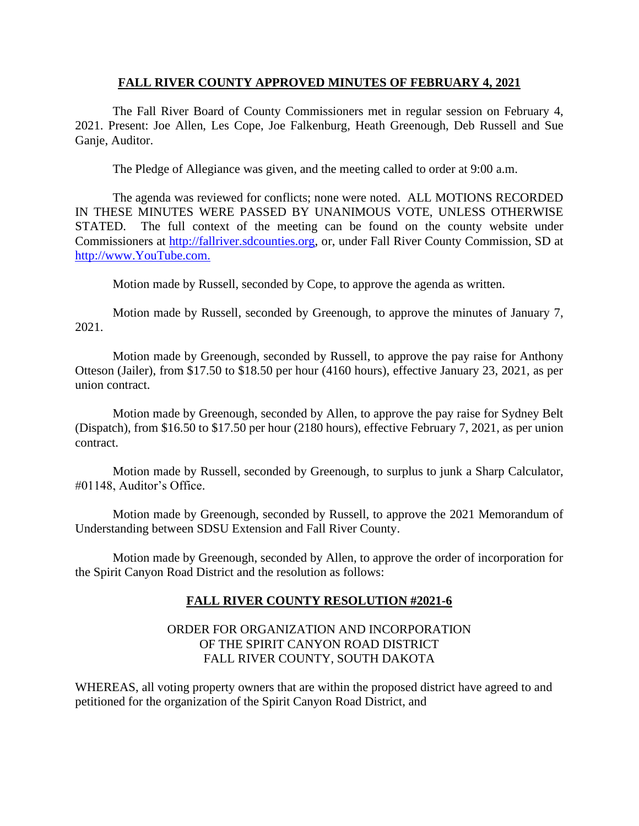#### **FALL RIVER COUNTY APPROVED MINUTES OF FEBRUARY 4, 2021**

The Fall River Board of County Commissioners met in regular session on February 4, 2021. Present: Joe Allen, Les Cope, Joe Falkenburg, Heath Greenough, Deb Russell and Sue Ganje, Auditor.

The Pledge of Allegiance was given, and the meeting called to order at 9:00 a.m.

The agenda was reviewed for conflicts; none were noted. ALL MOTIONS RECORDED IN THESE MINUTES WERE PASSED BY UNANIMOUS VOTE, UNLESS OTHERWISE STATED. The full context of the meeting can be found on the county website under Commissioners at [http://fallriver.sdcounties.org,](http://fallriver.sdcounties.org/) or, under Fall River County Commission, SD at [http://www.YouTube.com.](http://www.youtube.com/)

Motion made by Russell, seconded by Cope, to approve the agenda as written.

Motion made by Russell, seconded by Greenough, to approve the minutes of January 7, 2021.

Motion made by Greenough, seconded by Russell, to approve the pay raise for Anthony Otteson (Jailer), from \$17.50 to \$18.50 per hour (4160 hours), effective January 23, 2021, as per union contract.

Motion made by Greenough, seconded by Allen, to approve the pay raise for Sydney Belt (Dispatch), from \$16.50 to \$17.50 per hour (2180 hours), effective February 7, 2021, as per union contract.

Motion made by Russell, seconded by Greenough, to surplus to junk a Sharp Calculator, #01148, Auditor's Office.

Motion made by Greenough, seconded by Russell, to approve the 2021 Memorandum of Understanding between SDSU Extension and Fall River County.

Motion made by Greenough, seconded by Allen, to approve the order of incorporation for the Spirit Canyon Road District and the resolution as follows:

## **FALL RIVER COUNTY RESOLUTION #2021-6**

## ORDER FOR ORGANIZATION AND INCORPORATION OF THE SPIRIT CANYON ROAD DISTRICT FALL RIVER COUNTY, SOUTH DAKOTA

WHEREAS, all voting property owners that are within the proposed district have agreed to and petitioned for the organization of the Spirit Canyon Road District, and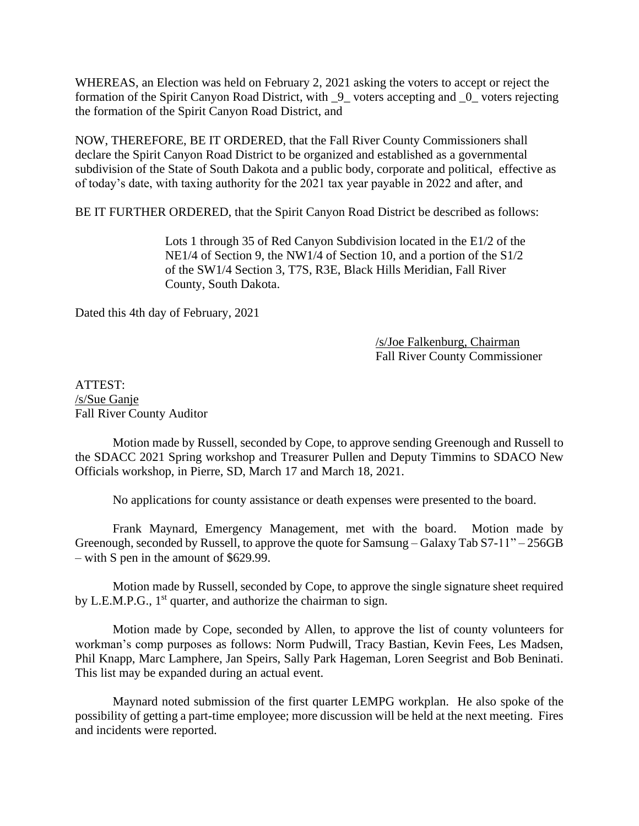WHEREAS, an Election was held on February 2, 2021 asking the voters to accept or reject the formation of the Spirit Canyon Road District, with \_9\_ voters accepting and \_0\_ voters rejecting the formation of the Spirit Canyon Road District, and

NOW, THEREFORE, BE IT ORDERED, that the Fall River County Commissioners shall declare the Spirit Canyon Road District to be organized and established as a governmental subdivision of the State of South Dakota and a public body, corporate and political, effective as of today's date, with taxing authority for the 2021 tax year payable in 2022 and after, and

BE IT FURTHER ORDERED, that the Spirit Canyon Road District be described as follows:

Lots 1 through 35 of Red Canyon Subdivision located in the E1/2 of the NE1/4 of Section 9, the NW1/4 of Section 10, and a portion of the S1/2 of the SW1/4 Section 3, T7S, R3E, Black Hills Meridian, Fall River County, South Dakota.

Dated this 4th day of February, 2021

#### /s/Joe Falkenburg, Chairman Fall River County Commissioner

ATTEST: /s/Sue Ganje Fall River County Auditor

Motion made by Russell, seconded by Cope, to approve sending Greenough and Russell to the SDACC 2021 Spring workshop and Treasurer Pullen and Deputy Timmins to SDACO New Officials workshop, in Pierre, SD, March 17 and March 18, 2021.

No applications for county assistance or death expenses were presented to the board.

Frank Maynard, Emergency Management, met with the board. Motion made by Greenough, seconded by Russell, to approve the quote for Samsung – Galaxy Tab S7-11" – 256GB – with S pen in the amount of \$629.99.

Motion made by Russell, seconded by Cope, to approve the single signature sheet required by L.E.M.P.G.,  $1<sup>st</sup>$  quarter, and authorize the chairman to sign.

Motion made by Cope, seconded by Allen, to approve the list of county volunteers for workman's comp purposes as follows: Norm Pudwill, Tracy Bastian, Kevin Fees, Les Madsen, Phil Knapp, Marc Lamphere, Jan Speirs, Sally Park Hageman, Loren Seegrist and Bob Beninati. This list may be expanded during an actual event.

Maynard noted submission of the first quarter LEMPG workplan. He also spoke of the possibility of getting a part-time employee; more discussion will be held at the next meeting. Fires and incidents were reported.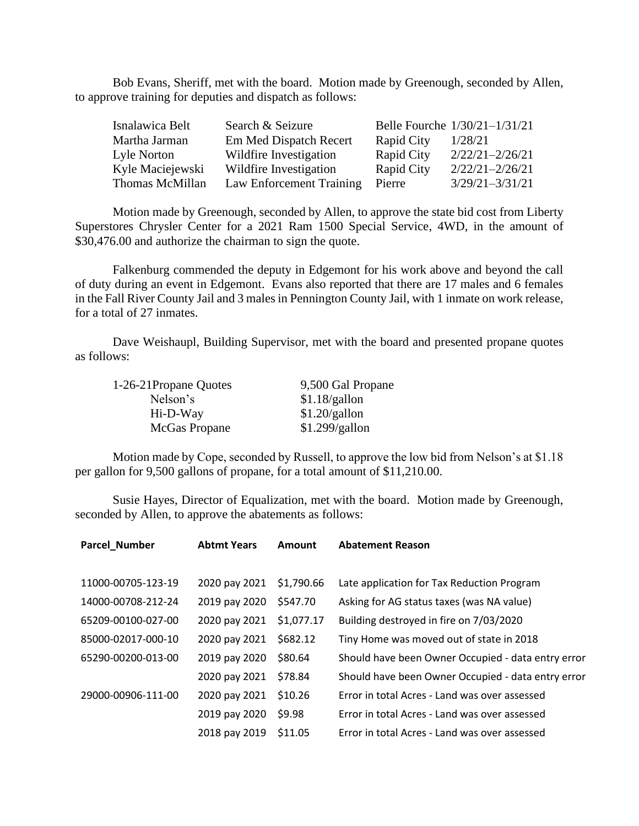Bob Evans, Sheriff, met with the board. Motion made by Greenough, seconded by Allen, to approve training for deputies and dispatch as follows:

| Isnalawica Belt  | Search & Seizure         |                   | Belle Fourche 1/30/21-1/31/21 |
|------------------|--------------------------|-------------------|-------------------------------|
| Martha Jarman    | Em Med Dispatch Recert   | <b>Rapid City</b> | 1/28/21                       |
| Lyle Norton      | Wildfire Investigation   | <b>Rapid City</b> | $2/22/21 - 2/26/21$           |
| Kyle Maciejewski | Wildfire Investigation   | <b>Rapid City</b> | $2/22/21 - 2/26/21$           |
| Thomas McMillan  | Law Enforcement Training | Pierre            | $3/29/21 - 3/31/21$           |

Motion made by Greenough, seconded by Allen, to approve the state bid cost from Liberty Superstores Chrysler Center for a 2021 Ram 1500 Special Service, 4WD, in the amount of \$30,476.00 and authorize the chairman to sign the quote.

Falkenburg commended the deputy in Edgemont for his work above and beyond the call of duty during an event in Edgemont. Evans also reported that there are 17 males and 6 females in the Fall River County Jail and 3 males in Pennington County Jail, with 1 inmate on work release, for a total of 27 inmates.

Dave Weishaupl, Building Supervisor, met with the board and presented propane quotes as follows:

| 1-26-21Propane Quotes | 9,500 Gal Propane |
|-----------------------|-------------------|
| Nelson's              | \$1.18/gallon     |
| Hi-D-Way              | \$1.20/gallon     |
| McGas Propane         | \$1.299/gallon    |

Motion made by Cope, seconded by Russell, to approve the low bid from Nelson's at \$1.18 per gallon for 9,500 gallons of propane, for a total amount of \$11,210.00.

Susie Hayes, Director of Equalization, met with the board. Motion made by Greenough, seconded by Allen, to approve the abatements as follows:

| <b>Parcel_Number</b> | <b>Abtmt Years</b> | Amount     | <b>Abatement Reason</b>                            |
|----------------------|--------------------|------------|----------------------------------------------------|
|                      |                    |            |                                                    |
| 11000-00705-123-19   | 2020 pay 2021      | \$1,790.66 | Late application for Tax Reduction Program         |
| 14000-00708-212-24   | 2019 pay 2020      | \$547.70   | Asking for AG status taxes (was NA value)          |
| 65209-00100-027-00   | 2020 pay 2021      | \$1,077.17 | Building destroyed in fire on 7/03/2020            |
| 85000-02017-000-10   | 2020 pay 2021      | \$682.12   | Tiny Home was moved out of state in 2018           |
| 65290-00200-013-00   | 2019 pay 2020      | \$80.64    | Should have been Owner Occupied - data entry error |
|                      | 2020 pay 2021      | \$78.84    | Should have been Owner Occupied - data entry error |
| 29000-00906-111-00   | 2020 pay 2021      | \$10.26    | Error in total Acres - Land was over assessed      |
|                      | 2019 pay 2020      | \$9.98     | Error in total Acres - Land was over assessed      |
|                      | 2018 pay 2019      | \$11.05    | Error in total Acres - Land was over assessed      |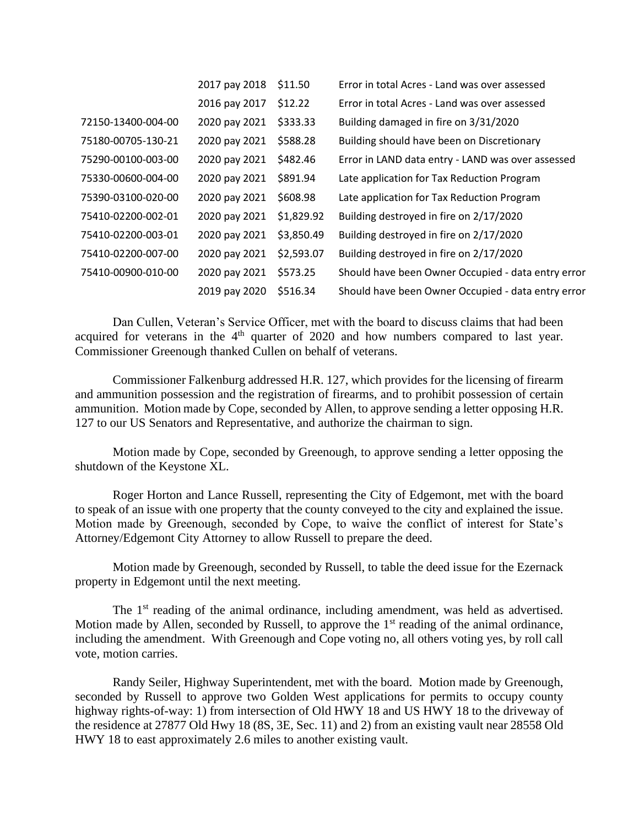|                    | 2017 pay 2018 | \$11.50    | Error in total Acres - Land was over assessed      |
|--------------------|---------------|------------|----------------------------------------------------|
|                    | 2016 pay 2017 | \$12.22    | Error in total Acres - Land was over assessed      |
| 72150-13400-004-00 | 2020 pay 2021 | \$333.33   | Building damaged in fire on 3/31/2020              |
| 75180-00705-130-21 | 2020 pay 2021 | \$588.28   | Building should have been on Discretionary         |
| 75290-00100-003-00 | 2020 pay 2021 | \$482.46   | Error in LAND data entry - LAND was over assessed  |
| 75330-00600-004-00 | 2020 pay 2021 | \$891.94   | Late application for Tax Reduction Program         |
| 75390-03100-020-00 | 2020 pay 2021 | \$608.98   | Late application for Tax Reduction Program         |
| 75410-02200-002-01 | 2020 pay 2021 | \$1,829.92 | Building destroyed in fire on 2/17/2020            |
| 75410-02200-003-01 | 2020 pay 2021 | \$3,850.49 | Building destroyed in fire on 2/17/2020            |
| 75410-02200-007-00 | 2020 pay 2021 | \$2,593.07 | Building destroyed in fire on 2/17/2020            |
| 75410-00900-010-00 | 2020 pay 2021 | \$573.25   | Should have been Owner Occupied - data entry error |
|                    | 2019 pay 2020 | \$516.34   | Should have been Owner Occupied - data entry error |

Dan Cullen, Veteran's Service Officer, met with the board to discuss claims that had been acquired for veterans in the 4<sup>th</sup> quarter of 2020 and how numbers compared to last year. Commissioner Greenough thanked Cullen on behalf of veterans.

Commissioner Falkenburg addressed H.R. 127, which provides for the licensing of firearm and ammunition possession and the registration of firearms, and to prohibit possession of certain ammunition. Motion made by Cope, seconded by Allen, to approve sending a letter opposing H.R. 127 to our US Senators and Representative, and authorize the chairman to sign.

Motion made by Cope, seconded by Greenough, to approve sending a letter opposing the shutdown of the Keystone XL.

Roger Horton and Lance Russell, representing the City of Edgemont, met with the board to speak of an issue with one property that the county conveyed to the city and explained the issue. Motion made by Greenough, seconded by Cope, to waive the conflict of interest for State's Attorney/Edgemont City Attorney to allow Russell to prepare the deed.

Motion made by Greenough, seconded by Russell, to table the deed issue for the Ezernack property in Edgemont until the next meeting.

The 1<sup>st</sup> reading of the animal ordinance, including amendment, was held as advertised. Motion made by Allen, seconded by Russell, to approve the  $1<sup>st</sup>$  reading of the animal ordinance, including the amendment. With Greenough and Cope voting no, all others voting yes, by roll call vote, motion carries.

Randy Seiler, Highway Superintendent, met with the board. Motion made by Greenough, seconded by Russell to approve two Golden West applications for permits to occupy county highway rights-of-way: 1) from intersection of Old HWY 18 and US HWY 18 to the driveway of the residence at 27877 Old Hwy 18 (8S, 3E, Sec. 11) and 2) from an existing vault near 28558 Old HWY 18 to east approximately 2.6 miles to another existing vault.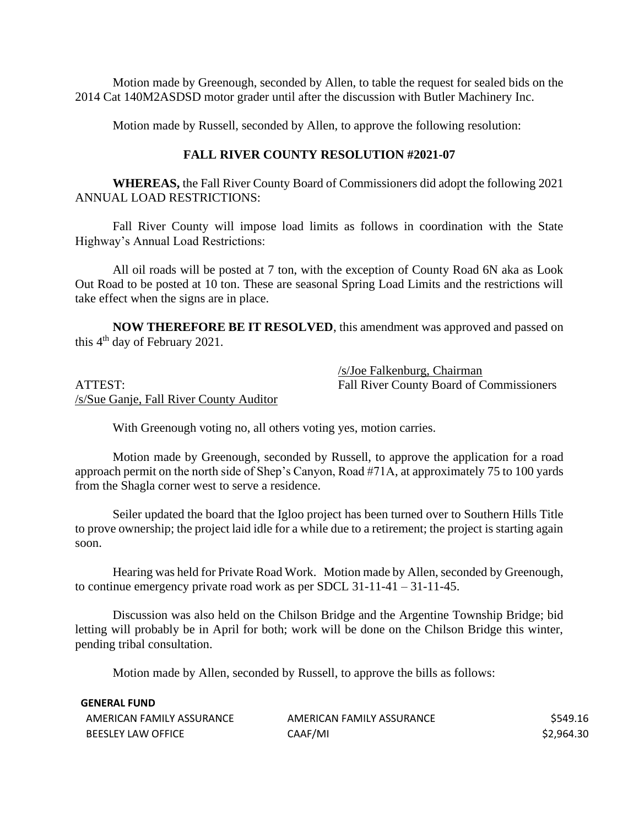Motion made by Greenough, seconded by Allen, to table the request for sealed bids on the 2014 Cat 140M2ASDSD motor grader until after the discussion with Butler Machinery Inc.

Motion made by Russell, seconded by Allen, to approve the following resolution:

#### **FALL RIVER COUNTY RESOLUTION #2021-07**

**WHEREAS,** the Fall River County Board of Commissioners did adopt the following 2021 ANNUAL LOAD RESTRICTIONS:

Fall River County will impose load limits as follows in coordination with the State Highway's Annual Load Restrictions:

All oil roads will be posted at 7 ton, with the exception of County Road 6N aka as Look Out Road to be posted at 10 ton. These are seasonal Spring Load Limits and the restrictions will take effect when the signs are in place.

**NOW THEREFORE BE IT RESOLVED**, this amendment was approved and passed on this  $4<sup>th</sup>$  day of February 2021.

/s/Sue Ganje, Fall River County Auditor

/s/Joe Falkenburg, Chairman ATTEST: Fall River County Board of Commissioners

With Greenough voting no, all others voting yes, motion carries.

Motion made by Greenough, seconded by Russell, to approve the application for a road approach permit on the north side of Shep's Canyon, Road #71A, at approximately 75 to 100 yards from the Shagla corner west to serve a residence.

Seiler updated the board that the Igloo project has been turned over to Southern Hills Title to prove ownership; the project laid idle for a while due to a retirement; the project is starting again soon.

Hearing was held for Private Road Work. Motion made by Allen, seconded by Greenough, to continue emergency private road work as per SDCL 31-11-41 – 31-11-45.

Discussion was also held on the Chilson Bridge and the Argentine Township Bridge; bid letting will probably be in April for both; work will be done on the Chilson Bridge this winter, pending tribal consultation.

Motion made by Allen, seconded by Russell, to approve the bills as follows:

| <b>GENERAL FUND</b>       |                           |            |
|---------------------------|---------------------------|------------|
| AMERICAN FAMILY ASSURANCE | AMERICAN FAMILY ASSURANCE | \$549.16   |
| <b>BEESLEY LAW OFFICE</b> | CAAF/MI                   | \$2,964.30 |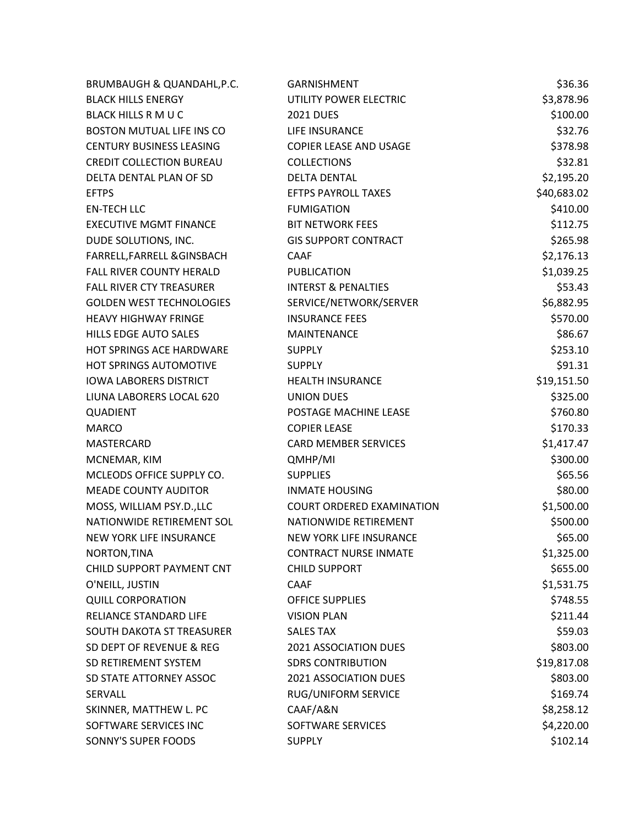| BRUMBAUGH & QUANDAHL, P.C.       | <b>GARNISHMENT</b>             | \$36.36     |
|----------------------------------|--------------------------------|-------------|
| <b>BLACK HILLS ENERGY</b>        | UTILITY POWER ELECTRIC         | \$3,878.96  |
| <b>BLACK HILLS R M U C</b>       | <b>2021 DUES</b>               | \$100.00    |
| <b>BOSTON MUTUAL LIFE INS CO</b> | LIFE INSURANCE                 | \$32.76     |
| <b>CENTURY BUSINESS LEASING</b>  | COPIER LEASE AND USAGE         | \$378.98    |
| <b>CREDIT COLLECTION BUREAU</b>  | <b>COLLECTIONS</b>             | \$32.81     |
| DELTA DENTAL PLAN OF SD          | <b>DELTA DENTAL</b>            | \$2,195.20  |
| <b>EFTPS</b>                     | <b>EFTPS PAYROLL TAXES</b>     | \$40,683.02 |
| <b>EN-TECH LLC</b>               | <b>FUMIGATION</b>              | \$410.00    |
| <b>EXECUTIVE MGMT FINANCE</b>    | <b>BIT NETWORK FEES</b>        | \$112.75    |
| DUDE SOLUTIONS, INC.             | <b>GIS SUPPORT CONTRACT</b>    | \$265.98    |
| FARRELL, FARRELL & GINSBACH      | <b>CAAF</b>                    | \$2,176.13  |
| <b>FALL RIVER COUNTY HERALD</b>  | <b>PUBLICATION</b>             | \$1,039.25  |
| <b>FALL RIVER CTY TREASURER</b>  | <b>INTERST &amp; PENALTIES</b> | \$53.43     |
| <b>GOLDEN WEST TECHNOLOGIES</b>  | SERVICE/NETWORK/SERVER         | \$6,882.95  |
| <b>HEAVY HIGHWAY FRINGE</b>      | <b>INSURANCE FEES</b>          | \$570.00    |
| <b>HILLS EDGE AUTO SALES</b>     | <b>MAINTENANCE</b>             | \$86.67     |
| <b>HOT SPRINGS ACE HARDWARE</b>  | <b>SUPPLY</b>                  | \$253.10    |
| HOT SPRINGS AUTOMOTIVE           | <b>SUPPLY</b>                  | \$91.31     |
| <b>IOWA LABORERS DISTRICT</b>    | <b>HEALTH INSURANCE</b>        | \$19,151.50 |
| LIUNA LABORERS LOCAL 620         | UNION DUES                     | \$325.00    |
| QUADIENT                         | POSTAGE MACHINE LEASE          | \$760.80    |
| <b>MARCO</b>                     | <b>COPIER LEASE</b>            | \$170.33    |
| MASTERCARD                       | <b>CARD MEMBER SERVICES</b>    | \$1,417.47  |
| MCNEMAR, KIM                     | QMHP/MI                        | \$300.00    |
| MCLEODS OFFICE SUPPLY CO.        | <b>SUPPLIES</b>                | \$65.56     |
| <b>MEADE COUNTY AUDITOR</b>      | <b>INMATE HOUSING</b>          | \$80.00     |
| MOSS, WILLIAM PSY.D., LLC        | COURT ORDERED EXAMINATION      | \$1,500.00  |
| NATIONWIDE RETIREMENT SOL        | NATIONWIDE RETIREMENT          | \$500.00    |
| NEW YORK LIFE INSURANCE          | NEW YORK LIFE INSURANCE        | \$65.00     |
| NORTON, TINA                     | <b>CONTRACT NURSE INMATE</b>   | \$1,325.00  |
| CHILD SUPPORT PAYMENT CNT        | <b>CHILD SUPPORT</b>           | \$655.00    |
| O'NEILL, JUSTIN                  | <b>CAAF</b>                    | \$1,531.75  |
| <b>QUILL CORPORATION</b>         | <b>OFFICE SUPPLIES</b>         | \$748.55    |
| RELIANCE STANDARD LIFE           | <b>VISION PLAN</b>             | \$211.44    |
| SOUTH DAKOTA ST TREASURER        | <b>SALES TAX</b>               | \$59.03     |
| SD DEPT OF REVENUE & REG         | 2021 ASSOCIATION DUES          | \$803.00    |
| SD RETIREMENT SYSTEM             | <b>SDRS CONTRIBUTION</b>       | \$19,817.08 |
| SD STATE ATTORNEY ASSOC          | 2021 ASSOCIATION DUES          | \$803.00    |
| SERVALL                          | RUG/UNIFORM SERVICE            | \$169.74    |
| SKINNER, MATTHEW L. PC           | CAAF/A&N                       | \$8,258.12  |
| SOFTWARE SERVICES INC            | SOFTWARE SERVICES              | \$4,220.00  |
| SONNY'S SUPER FOODS              | <b>SUPPLY</b>                  | \$102.14    |
|                                  |                                |             |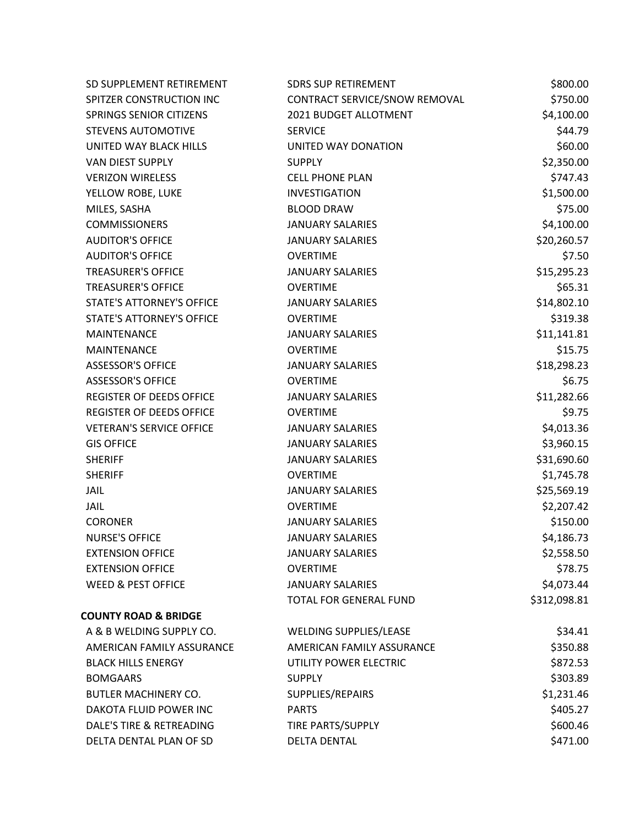| SD SUPPLEMENT RETIREMENT         | <b>SDRS SUP RETIREMENT</b>    | \$800.00     |
|----------------------------------|-------------------------------|--------------|
| SPITZER CONSTRUCTION INC         | CONTRACT SERVICE/SNOW REMOVAL | \$750.00     |
| <b>SPRINGS SENIOR CITIZENS</b>   | 2021 BUDGET ALLOTMENT         | \$4,100.00   |
| <b>STEVENS AUTOMOTIVE</b>        | <b>SERVICE</b>                | \$44.79      |
| UNITED WAY BLACK HILLS           | UNITED WAY DONATION           | \$60.00      |
| VAN DIEST SUPPLY                 | <b>SUPPLY</b>                 | \$2,350.00   |
| <b>VERIZON WIRELESS</b>          | <b>CELL PHONE PLAN</b>        | \$747.43     |
| YELLOW ROBE, LUKE                | <b>INVESTIGATION</b>          | \$1,500.00   |
| MILES, SASHA                     | <b>BLOOD DRAW</b>             | \$75.00      |
| <b>COMMISSIONERS</b>             | <b>JANUARY SALARIES</b>       | \$4,100.00   |
| <b>AUDITOR'S OFFICE</b>          | <b>JANUARY SALARIES</b>       | \$20,260.57  |
| <b>AUDITOR'S OFFICE</b>          | <b>OVERTIME</b>               | \$7.50       |
| <b>TREASURER'S OFFICE</b>        | <b>JANUARY SALARIES</b>       | \$15,295.23  |
| <b>TREASURER'S OFFICE</b>        | <b>OVERTIME</b>               | \$65.31      |
| <b>STATE'S ATTORNEY'S OFFICE</b> | <b>JANUARY SALARIES</b>       | \$14,802.10  |
| STATE'S ATTORNEY'S OFFICE        | <b>OVERTIME</b>               | \$319.38     |
| <b>MAINTENANCE</b>               | <b>JANUARY SALARIES</b>       | \$11,141.81  |
| <b>MAINTENANCE</b>               | <b>OVERTIME</b>               | \$15.75      |
| <b>ASSESSOR'S OFFICE</b>         | <b>JANUARY SALARIES</b>       | \$18,298.23  |
| <b>ASSESSOR'S OFFICE</b>         | <b>OVERTIME</b>               | \$6.75       |
| <b>REGISTER OF DEEDS OFFICE</b>  | <b>JANUARY SALARIES</b>       | \$11,282.66  |
| <b>REGISTER OF DEEDS OFFICE</b>  | <b>OVERTIME</b>               | \$9.75       |
| <b>VETERAN'S SERVICE OFFICE</b>  | <b>JANUARY SALARIES</b>       | \$4,013.36   |
| <b>GIS OFFICE</b>                | <b>JANUARY SALARIES</b>       | \$3,960.15   |
| <b>SHERIFF</b>                   | <b>JANUARY SALARIES</b>       | \$31,690.60  |
| <b>SHERIFF</b>                   | <b>OVERTIME</b>               | \$1,745.78   |
| <b>JAIL</b>                      | <b>JANUARY SALARIES</b>       | \$25,569.19  |
| <b>JAIL</b>                      | <b>OVERTIME</b>               | \$2,207.42   |
| <b>CORONER</b>                   | <b>JANUARY SALARIES</b>       | \$150.00     |
| <b>NURSE'S OFFICE</b>            | <b>JANUARY SALARIES</b>       | \$4,186.73   |
| <b>EXTENSION OFFICE</b>          | <b>JANUARY SALARIES</b>       | \$2,558.50   |
| <b>EXTENSION OFFICE</b>          | <b>OVERTIME</b>               | \$78.75      |
| <b>WEED &amp; PEST OFFICE</b>    | <b>JANUARY SALARIES</b>       | \$4,073.44   |
|                                  | TOTAL FOR GENERAL FUND        | \$312,098.81 |
| <b>COUNTY ROAD &amp; BRIDGE</b>  |                               |              |
| A & B WELDING SUPPLY CO.         | WELDING SUPPLIES/LEASE        | \$34.41      |
| AMERICAN FAMILY ASSURANCE        | AMERICAN FAMILY ASSURANCE     | \$350.88     |
| <b>BLACK HILLS ENERGY</b>        | UTILITY POWER ELECTRIC        | \$872.53     |
| <b>BOMGAARS</b>                  | <b>SUPPLY</b>                 | \$303.89     |
| <b>BUTLER MACHINERY CO.</b>      | SUPPLIES/REPAIRS              | \$1,231.46   |
| DAKOTA FLUID POWER INC           | <b>PARTS</b>                  | \$405.27     |
| DALE'S TIRE & RETREADING         | TIRE PARTS/SUPPLY             | \$600.46     |
| DELTA DENTAL PLAN OF SD          | <b>DELTA DENTAL</b>           | \$471.00     |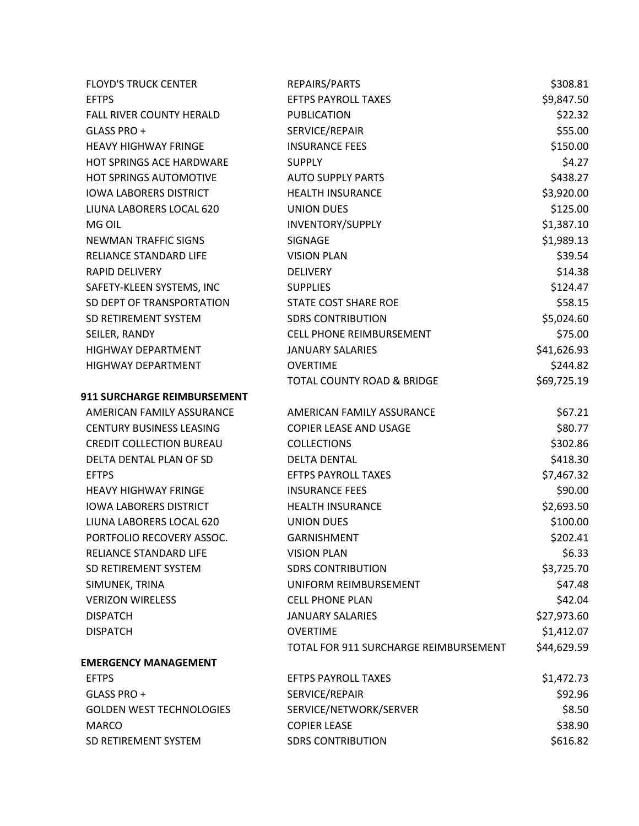| <b>FLOYD'S TRUCK CENTER</b>        | REPAIRS/PARTS                         | \$308.81    |
|------------------------------------|---------------------------------------|-------------|
| <b>EFTPS</b>                       | <b>EFTPS PAYROLL TAXES</b>            | \$9,847.50  |
| FALL RIVER COUNTY HERALD           | <b>PUBLICATION</b>                    | \$22.32     |
| GLASS PRO +                        | SERVICE/REPAIR                        | \$55.00     |
| <b>HEAVY HIGHWAY FRINGE</b>        | <b>INSURANCE FEES</b>                 | \$150.00    |
| HOT SPRINGS ACE HARDWARE           | <b>SUPPLY</b>                         | \$4.27      |
| HOT SPRINGS AUTOMOTIVE             | <b>AUTO SUPPLY PARTS</b>              | \$438.27    |
| <b>IOWA LABORERS DISTRICT</b>      | <b>HEALTH INSURANCE</b>               | \$3,920.00  |
| LIUNA LABORERS LOCAL 620           | <b>UNION DUES</b>                     | \$125.00    |
| MG OIL                             | INVENTORY/SUPPLY                      | \$1,387.10  |
| NEWMAN TRAFFIC SIGNS               | SIGNAGE                               | \$1,989.13  |
| RELIANCE STANDARD LIFE             | <b>VISION PLAN</b>                    | \$39.54     |
| <b>RAPID DELIVERY</b>              | <b>DELIVERY</b>                       | \$14.38     |
| SAFETY-KLEEN SYSTEMS, INC          | <b>SUPPLIES</b>                       | \$124.47    |
| SD DEPT OF TRANSPORTATION          | STATE COST SHARE ROE                  | \$58.15     |
| SD RETIREMENT SYSTEM               | <b>SDRS CONTRIBUTION</b>              | \$5,024.60  |
| SEILER, RANDY                      | <b>CELL PHONE REIMBURSEMENT</b>       | \$75.00     |
| HIGHWAY DEPARTMENT                 | <b>JANUARY SALARIES</b>               | \$41,626.93 |
| HIGHWAY DEPARTMENT                 | <b>OVERTIME</b>                       | \$244.82    |
|                                    | <b>TOTAL COUNTY ROAD &amp; BRIDGE</b> | \$69,725.19 |
| <b>911 SURCHARGE REIMBURSEMENT</b> |                                       |             |
| AMERICAN FAMILY ASSURANCE          | AMERICAN FAMILY ASSURANCE             | \$67.21     |
| <b>CENTURY BUSINESS LEASING</b>    | COPIER LEASE AND USAGE                | \$80.77     |
| <b>CREDIT COLLECTION BUREAU</b>    | <b>COLLECTIONS</b>                    | \$302.86    |
| DELTA DENTAL PLAN OF SD            | <b>DELTA DENTAL</b>                   | \$418.30    |
| <b>EFTPS</b>                       | <b>EFTPS PAYROLL TAXES</b>            | \$7,467.32  |
| <b>HEAVY HIGHWAY FRINGE</b>        | <b>INSURANCE FEES</b>                 | \$90.00     |
| <b>IOWA LABORERS DISTRICT</b>      | <b>HEALTH INSURANCE</b>               | \$2,693.50  |
| LIUNA LABORERS LOCAL 620           | <b>UNION DUES</b>                     | \$100.00    |
| PORTFOLIO RECOVERY ASSOC.          | GARNISHMENT                           | \$202.41    |
| RELIANCE STANDARD LIFE             | <b>VISION PLAN</b>                    | \$6.33      |
| SD RETIREMENT SYSTEM               | <b>SDRS CONTRIBUTION</b>              | \$3,725.70  |
| SIMUNEK, TRINA                     | UNIFORM REIMBURSEMENT                 | \$47.48     |
| <b>VERIZON WIRELESS</b>            | <b>CELL PHONE PLAN</b>                | \$42.04     |
| <b>DISPATCH</b>                    | <b>JANUARY SALARIES</b>               | \$27,973.60 |
| <b>DISPATCH</b>                    | <b>OVERTIME</b>                       | \$1,412.07  |
|                                    | TOTAL FOR 911 SURCHARGE REIMBURSEMENT | \$44,629.59 |
| <b>EMERGENCY MANAGEMENT</b>        |                                       |             |
| <b>EFTPS</b>                       | <b>EFTPS PAYROLL TAXES</b>            | \$1,472.73  |
| GLASS PRO +                        | SERVICE/REPAIR                        | \$92.96     |
| <b>GOLDEN WEST TECHNOLOGIES</b>    | SERVICE/NETWORK/SERVER                | \$8.50      |
| <b>MARCO</b>                       | <b>COPIER LEASE</b>                   | \$38.90     |
| SD RETIREMENT SYSTEM               | <b>SDRS CONTRIBUTION</b>              | \$616.82    |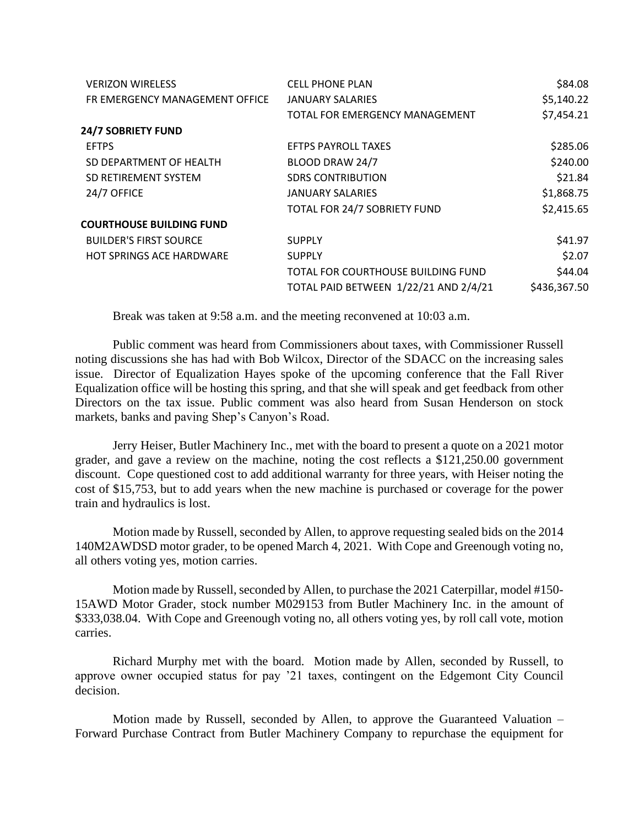| <b>VERIZON WIRELESS</b>         | <b>CELL PHONE PLAN</b>                | \$84.08      |
|---------------------------------|---------------------------------------|--------------|
| FR EMERGENCY MANAGEMENT OFFICE  | <b>JANUARY SALARIES</b>               | \$5,140.22   |
|                                 | TOTAL FOR EMERGENCY MANAGEMENT        | \$7,454.21   |
| <b>24/7 SOBRIETY FUND</b>       |                                       |              |
| <b>EFTPS</b>                    | <b>EFTPS PAYROLL TAXES</b>            | \$285.06     |
| SD DEPARTMENT OF HEALTH         | BLOOD DRAW 24/7                       | \$240.00     |
| SD RETIREMENT SYSTEM            | <b>SDRS CONTRIBUTION</b>              | \$21.84      |
| 24/7 OFFICE                     | JANUARY SALARIES                      | \$1,868.75   |
|                                 | TOTAL FOR 24/7 SOBRIETY FUND          | \$2,415.65   |
| <b>COURTHOUSE BUILDING FUND</b> |                                       |              |
| <b>BUILDER'S FIRST SOURCE</b>   | <b>SUPPLY</b>                         | \$41.97      |
| HOT SPRINGS ACE HARDWARE        | <b>SUPPLY</b>                         | \$2.07       |
|                                 | TOTAL FOR COURTHOUSE BUILDING FUND    | \$44.04      |
|                                 | TOTAL PAID BETWEEN 1/22/21 AND 2/4/21 | \$436,367.50 |

Break was taken at 9:58 a.m. and the meeting reconvened at 10:03 a.m.

Public comment was heard from Commissioners about taxes, with Commissioner Russell noting discussions she has had with Bob Wilcox, Director of the SDACC on the increasing sales issue. Director of Equalization Hayes spoke of the upcoming conference that the Fall River Equalization office will be hosting this spring, and that she will speak and get feedback from other Directors on the tax issue. Public comment was also heard from Susan Henderson on stock markets, banks and paving Shep's Canyon's Road.

Jerry Heiser, Butler Machinery Inc., met with the board to present a quote on a 2021 motor grader, and gave a review on the machine, noting the cost reflects a \$121,250.00 government discount. Cope questioned cost to add additional warranty for three years, with Heiser noting the cost of \$15,753, but to add years when the new machine is purchased or coverage for the power train and hydraulics is lost.

Motion made by Russell, seconded by Allen, to approve requesting sealed bids on the 2014 140M2AWDSD motor grader, to be opened March 4, 2021. With Cope and Greenough voting no, all others voting yes, motion carries.

Motion made by Russell, seconded by Allen, to purchase the 2021 Caterpillar, model #150- 15AWD Motor Grader, stock number M029153 from Butler Machinery Inc. in the amount of \$333,038.04. With Cope and Greenough voting no, all others voting yes, by roll call vote, motion carries.

Richard Murphy met with the board. Motion made by Allen, seconded by Russell, to approve owner occupied status for pay '21 taxes, contingent on the Edgemont City Council decision.

Motion made by Russell, seconded by Allen, to approve the Guaranteed Valuation – Forward Purchase Contract from Butler Machinery Company to repurchase the equipment for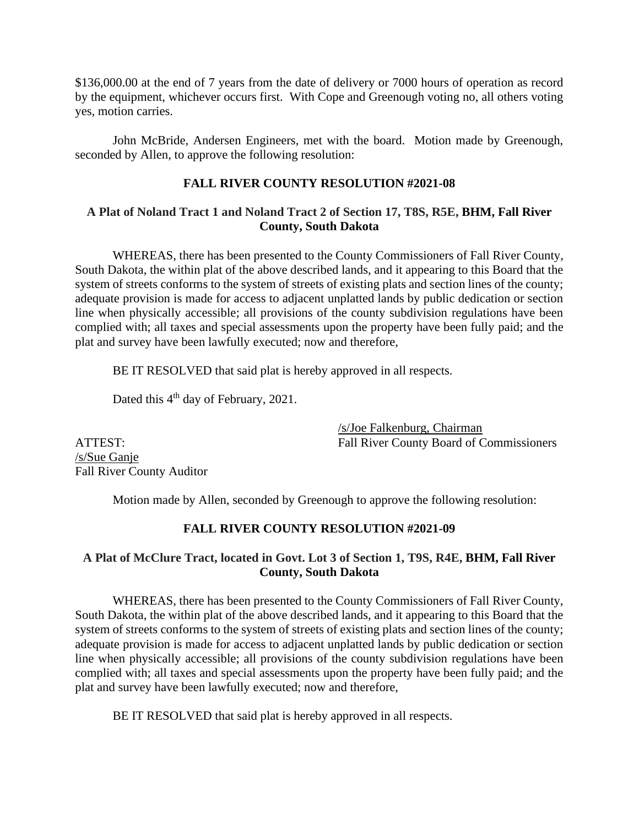\$136,000.00 at the end of 7 years from the date of delivery or 7000 hours of operation as record by the equipment, whichever occurs first. With Cope and Greenough voting no, all others voting yes, motion carries.

John McBride, Andersen Engineers, met with the board. Motion made by Greenough, seconded by Allen, to approve the following resolution:

# **FALL RIVER COUNTY RESOLUTION #2021-08**

### **A Plat of Noland Tract 1 and Noland Tract 2 of Section 17, T8S, R5E, BHM, Fall River County, South Dakota**

WHEREAS, there has been presented to the County Commissioners of Fall River County, South Dakota, the within plat of the above described lands, and it appearing to this Board that the system of streets conforms to the system of streets of existing plats and section lines of the county; adequate provision is made for access to adjacent unplatted lands by public dedication or section line when physically accessible; all provisions of the county subdivision regulations have been complied with; all taxes and special assessments upon the property have been fully paid; and the plat and survey have been lawfully executed; now and therefore,

BE IT RESOLVED that said plat is hereby approved in all respects.

Dated this 4<sup>th</sup> day of February, 2021.

/s/Joe Falkenburg, Chairman ATTEST: Fall River County Board of Commissioners

/s/Sue Ganje Fall River County Auditor

Motion made by Allen, seconded by Greenough to approve the following resolution:

## **FALL RIVER COUNTY RESOLUTION #2021-09**

## **A Plat of McClure Tract, located in Govt. Lot 3 of Section 1, T9S, R4E, BHM, Fall River County, South Dakota**

WHEREAS, there has been presented to the County Commissioners of Fall River County, South Dakota, the within plat of the above described lands, and it appearing to this Board that the system of streets conforms to the system of streets of existing plats and section lines of the county; adequate provision is made for access to adjacent unplatted lands by public dedication or section line when physically accessible; all provisions of the county subdivision regulations have been complied with; all taxes and special assessments upon the property have been fully paid; and the plat and survey have been lawfully executed; now and therefore,

BE IT RESOLVED that said plat is hereby approved in all respects.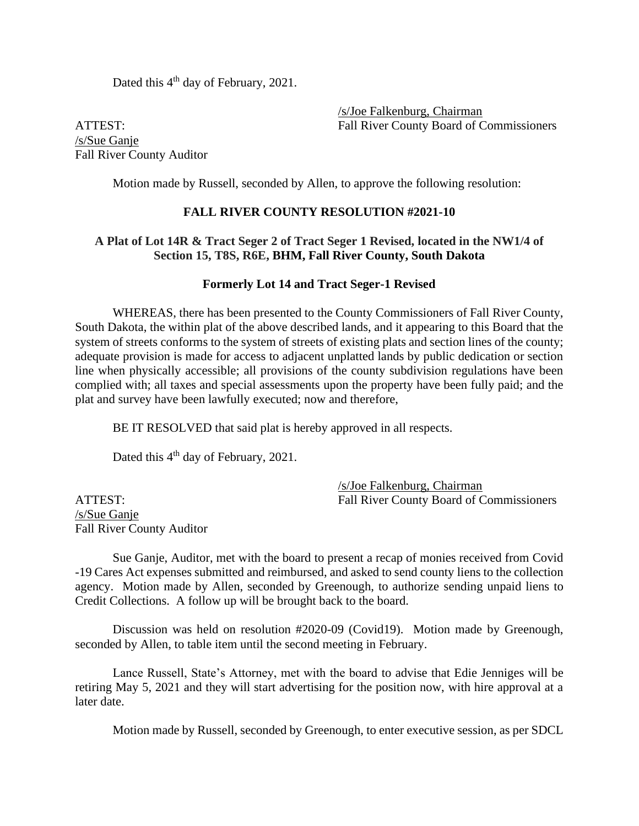Dated this 4<sup>th</sup> day of February, 2021.

/s/Joe Falkenburg, Chairman ATTEST: Fall River County Board of Commissioners

/s/Sue Ganje Fall River County Auditor

Motion made by Russell, seconded by Allen, to approve the following resolution:

#### **FALL RIVER COUNTY RESOLUTION #2021-10**

#### **A Plat of Lot 14R & Tract Seger 2 of Tract Seger 1 Revised, located in the NW1/4 of Section 15, T8S, R6E, BHM, Fall River County, South Dakota**

#### **Formerly Lot 14 and Tract Seger-1 Revised**

WHEREAS, there has been presented to the County Commissioners of Fall River County, South Dakota, the within plat of the above described lands, and it appearing to this Board that the system of streets conforms to the system of streets of existing plats and section lines of the county; adequate provision is made for access to adjacent unplatted lands by public dedication or section line when physically accessible; all provisions of the county subdivision regulations have been complied with; all taxes and special assessments upon the property have been fully paid; and the plat and survey have been lawfully executed; now and therefore,

BE IT RESOLVED that said plat is hereby approved in all respects.

Dated this 4<sup>th</sup> day of February, 2021.

/s/Joe Falkenburg, Chairman ATTEST: Fall River County Board of Commissioners

/s/Sue Ganje Fall River County Auditor

Sue Ganje, Auditor, met with the board to present a recap of monies received from Covid -19 Cares Act expenses submitted and reimbursed, and asked to send county liens to the collection agency. Motion made by Allen, seconded by Greenough, to authorize sending unpaid liens to Credit Collections. A follow up will be brought back to the board.

Discussion was held on resolution #2020-09 (Covid19). Motion made by Greenough, seconded by Allen, to table item until the second meeting in February.

Lance Russell, State's Attorney, met with the board to advise that Edie Jenniges will be retiring May 5, 2021 and they will start advertising for the position now, with hire approval at a later date.

Motion made by Russell, seconded by Greenough, to enter executive session, as per SDCL